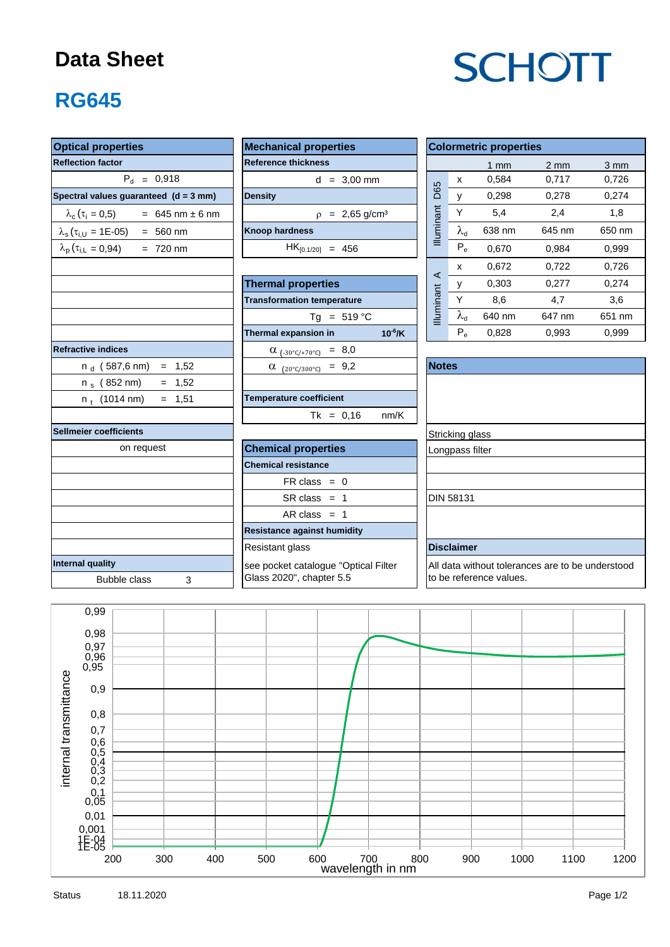#### **Data Sheet**

# **SCHOTT**

### **RG645**

| <b>Optical properties</b>                                  | <b>Colormetric properties</b>           |              |                                                  |                   |                         |                  |                  |  |  |  |
|------------------------------------------------------------|-----------------------------------------|--------------|--------------------------------------------------|-------------------|-------------------------|------------------|------------------|--|--|--|
| <b>Reflection factor</b>                                   | <b>Reference thickness</b>              |              |                                                  |                   | $1 \text{ mm}$          | $2 \, \text{mm}$ | $3 \, \text{mm}$ |  |  |  |
| $P_{d} = 0.918$                                            | $d = 3,00$ mm                           |              |                                                  | X                 | 0,584                   | 0,717            | 0,726            |  |  |  |
| Spectral values guaranteed (d = 3 mm)                      | <b>Density</b>                          |              | <b>D65</b>                                       | y                 | 0,298                   | 0,278            | 0,274            |  |  |  |
| $\lambda_c(\tau_i = 0.5)$ = 645 nm ± 6 nm                  | $p = 2,65$ g/cm <sup>3</sup>            |              |                                                  | Y                 | 5,4                     | 2,4              | 1,8              |  |  |  |
| $\lambda_s(\tau_{i,U} = 1E{\text -}05)$ = 560 nm           | <b>Knoop hardness</b>                   |              | Illuminant                                       | $\lambda_{\rm d}$ | 638 nm                  | 645 nm           | 650 nm           |  |  |  |
| $\lambda_{\rm p}$ ( $\tau_{\rm i,L}$ = 0,94)<br>$= 720$ nm | $HK_{[0.1/20]} = 456$                   |              |                                                  | $P_e$             | 0,670                   | 0,984            | 0,999            |  |  |  |
|                                                            |                                         |              |                                                  | x                 | 0,672                   | 0,722            | 0,726            |  |  |  |
|                                                            | <b>Thermal properties</b>               |              | ⋖                                                | У                 | 0,303                   | 0,277            | 0,274            |  |  |  |
|                                                            | <b>Transformation temperature</b>       |              | Illuminant                                       | Y                 | 8,6                     | 4,7              | 3,6              |  |  |  |
|                                                            | Tg = $519 °C$                           |              |                                                  | $\lambda_{\sf d}$ | 640 nm                  | 647 nm           | 651 nm           |  |  |  |
|                                                            | Thermal expansion in                    | $10^{-6}$ /K |                                                  | $P_e$             | 0,828                   | 0,993            | 0,999            |  |  |  |
| <b>Refractive indices</b>                                  | $\alpha$ <sub>(-30°C/+70°C)</sub> = 8,0 |              |                                                  |                   |                         |                  |                  |  |  |  |
| $n_d$ (587,6 nm) = 1,52                                    | $\alpha$ (20°C/300°C) = 9,2             |              | <b>Notes</b>                                     |                   |                         |                  |                  |  |  |  |
| $= 1,52$<br>n <sub>s</sub> (852 nm)                        |                                         |              |                                                  |                   |                         |                  |                  |  |  |  |
| $n_t$ (1014 nm)<br>$= 1,51$                                | <b>Temperature coefficient</b>          |              |                                                  |                   |                         |                  |                  |  |  |  |
|                                                            | $Tk = 0,16$                             | nm/K         |                                                  |                   |                         |                  |                  |  |  |  |
| <b>Sellmeier coefficients</b>                              |                                         |              |                                                  | Stricking glass   |                         |                  |                  |  |  |  |
| on request                                                 | <b>Chemical properties</b>              |              | Longpass filter                                  |                   |                         |                  |                  |  |  |  |
|                                                            | <b>Chemical resistance</b>              |              |                                                  |                   |                         |                  |                  |  |  |  |
|                                                            | $FR \text{ class } = 0$                 |              |                                                  |                   |                         |                  |                  |  |  |  |
|                                                            | $SR class = 1$                          |              |                                                  | <b>DIN 58131</b>  |                         |                  |                  |  |  |  |
|                                                            | AR class $= 1$                          |              |                                                  |                   |                         |                  |                  |  |  |  |
|                                                            | <b>Resistance against humidity</b>      |              |                                                  |                   |                         |                  |                  |  |  |  |
|                                                            |                                         |              | <b>Disclaimer</b>                                |                   |                         |                  |                  |  |  |  |
| Internal quality                                           | see pocket catalogue "Optical Filter    |              | All data without tolerances are to be understood |                   |                         |                  |                  |  |  |  |
| <b>Bubble class</b><br>3                                   | Glass 2020", chapter 5.5                |              |                                                  |                   | to be reference values. |                  |                  |  |  |  |